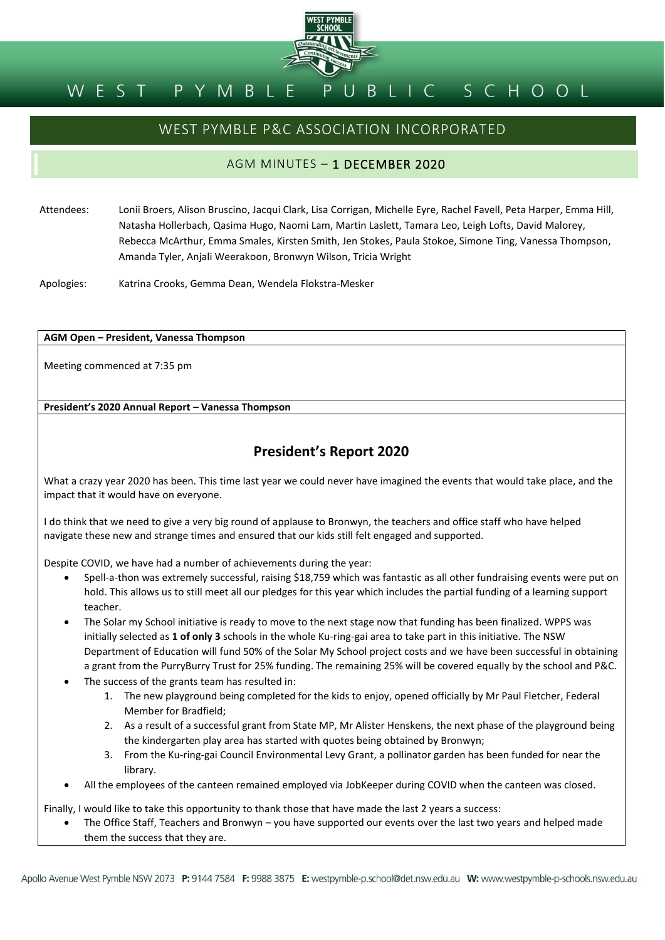

# WEST PYMBLE P&C ASSOCIATION INCORPORATED

## AGM MINUTES – 1 DECEMBER 2020

Attendees: Lonii Broers, Alison Bruscino, Jacqui Clark, Lisa Corrigan, Michelle Eyre, Rachel Favell, Peta Harper, Emma Hill, Natasha Hollerbach, Qasima Hugo, Naomi Lam, Martin Laslett, Tamara Leo, Leigh Lofts, David Malorey, Rebecca McArthur, Emma Smales, Kirsten Smith, Jen Stokes, Paula Stokoe, Simone Ting, Vanessa Thompson, Amanda Tyler, Anjali Weerakoon, Bronwyn Wilson, Tricia Wright

Apologies: Katrina Crooks, Gemma Dean, Wendela Flokstra-Mesker

#### **AGM Open – President, Vanessa Thompson**

Meeting commenced at 7:35 pm

## **President's 2020 Annual Report – Vanessa Thompson**

# **President's Report 2020**

What a crazy year 2020 has been. This time last year we could never have imagined the events that would take place, and the impact that it would have on everyone.

I do think that we need to give a very big round of applause to Bronwyn, the teachers and office staff who have helped navigate these new and strange times and ensured that our kids still felt engaged and supported.

Despite COVID, we have had a number of achievements during the year:

- Spell-a-thon was extremely successful, raising \$18,759 which was fantastic as all other fundraising events were put on hold. This allows us to still meet all our pledges for this year which includes the partial funding of a learning support teacher.
- The Solar my School initiative is ready to move to the next stage now that funding has been finalized. WPPS was initially selected as **1 of only 3** schools in the whole Ku-ring-gai area to take part in this initiative. The NSW Department of Education will fund 50% of the Solar My School project costs and we have been successful in obtaining a grant from the PurryBurry Trust for 25% funding. The remaining 25% will be covered equally by the school and P&C.
- The success of the grants team has resulted in:
	- 1. The new playground being completed for the kids to enjoy, opened officially by Mr Paul Fletcher, Federal Member for Bradfield;
	- 2. As a result of a successful grant from State MP, Mr Alister Henskens, the next phase of the playground being the kindergarten play area has started with quotes being obtained by Bronwyn;
	- 3. From the Ku-ring-gai Council Environmental Levy Grant, a pollinator garden has been funded for near the library.
- All the employees of the canteen remained employed via JobKeeper during COVID when the canteen was closed.

Finally, I would like to take this opportunity to thank those that have made the last 2 years a success:

• The Office Staff, Teachers and Bronwyn – you have supported our events over the last two years and helped made them the success that they are.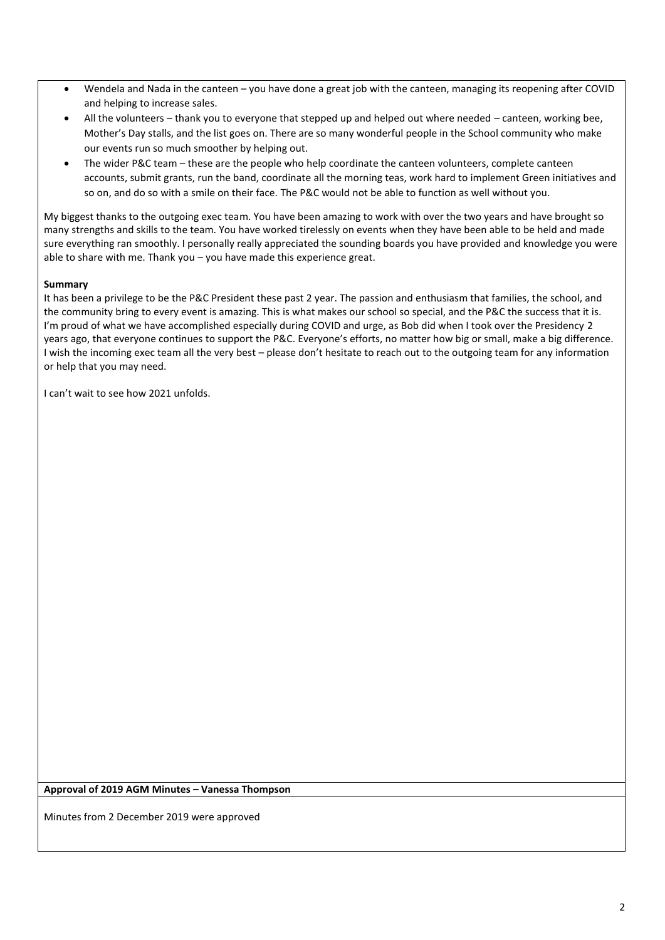- Wendela and Nada in the canteen you have done a great job with the canteen, managing its reopening after COVID and helping to increase sales.
- All the volunteers thank you to everyone that stepped up and helped out where needed canteen, working bee, Mother's Day stalls, and the list goes on. There are so many wonderful people in the School community who make our events run so much smoother by helping out.
- The wider P&C team these are the people who help coordinate the canteen volunteers, complete canteen accounts, submit grants, run the band, coordinate all the morning teas, work hard to implement Green initiatives and so on, and do so with a smile on their face. The P&C would not be able to function as well without you.

My biggest thanks to the outgoing exec team. You have been amazing to work with over the two years and have brought so many strengths and skills to the team. You have worked tirelessly on events when they have been able to be held and made sure everything ran smoothly. I personally really appreciated the sounding boards you have provided and knowledge you were able to share with me. Thank you – you have made this experience great.

## **Summary**

It has been a privilege to be the P&C President these past 2 year. The passion and enthusiasm that families, the school, and the community bring to every event is amazing. This is what makes our school so special, and the P&C the success that it is. I'm proud of what we have accomplished especially during COVID and urge, as Bob did when I took over the Presidency 2 years ago, that everyone continues to support the P&C. Everyone's efforts, no matter how big or small, make a big difference. I wish the incoming exec team all the very best – please don't hesitate to reach out to the outgoing team for any information or help that you may need.

I can't wait to see how 2021 unfolds.

**Approval of 2019 AGM Minutes – Vanessa Thompson**

Minutes from 2 December 2019 were approved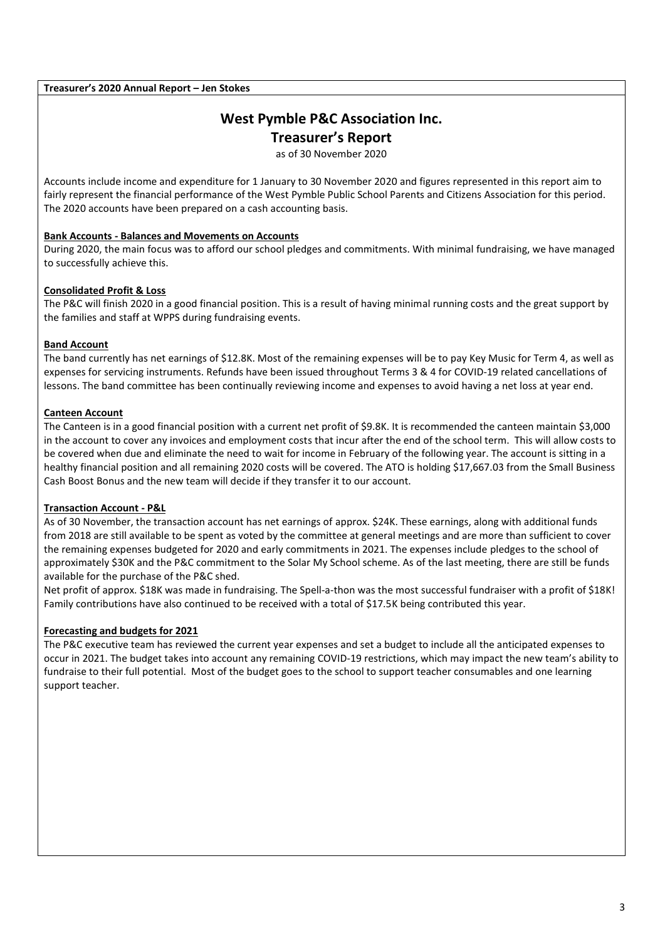#### **Treasurer's 2020 Annual Report – Jen Stokes**

# **West Pymble P&C Association Inc. Treasurer's Report**

as of 30 November 2020

Accounts include income and expenditure for 1 January to 30 November 2020 and figures represented in this report aim to fairly represent the financial performance of the West Pymble Public School Parents and Citizens Association for this period. The 2020 accounts have been prepared on a cash accounting basis.

### **Bank Accounts - Balances and Movements on Accounts**

During 2020, the main focus was to afford our school pledges and commitments. With minimal fundraising, we have managed to successfully achieve this.

### **Consolidated Profit & Loss**

The P&C will finish 2020 in a good financial position. This is a result of having minimal running costs and the great support by the families and staff at WPPS during fundraising events.

#### **Band Account**

The band currently has net earnings of \$12.8K. Most of the remaining expenses will be to pay Key Music for Term 4, as well as expenses for servicing instruments. Refunds have been issued throughout Terms 3 & 4 for COVID-19 related cancellations of lessons. The band committee has been continually reviewing income and expenses to avoid having a net loss at year end.

### **Canteen Account**

The Canteen is in a good financial position with a current net profit of \$9.8K. It is recommended the canteen maintain \$3,000 in the account to cover any invoices and employment costs that incur after the end of the school term. This will allow costs to be covered when due and eliminate the need to wait for income in February of the following year. The account is sitting in a healthy financial position and all remaining 2020 costs will be covered. The ATO is holding \$17,667.03 from the Small Business Cash Boost Bonus and the new team will decide if they transfer it to our account.

### **Transaction Account - P&L**

As of 30 November, the transaction account has net earnings of approx. \$24K. These earnings, along with additional funds from 2018 are still available to be spent as voted by the committee at general meetings and are more than sufficient to cover the remaining expenses budgeted for 2020 and early commitments in 2021. The expenses include pledges to the school of approximately \$30K and the P&C commitment to the Solar My School scheme. As of the last meeting, there are still be funds available for the purchase of the P&C shed.

Net profit of approx. \$18K was made in fundraising. The Spell-a-thon was the most successful fundraiser with a profit of \$18K! Family contributions have also continued to be received with a total of \$17.5K being contributed this year.

### **Forecasting and budgets for 2021**

The P&C executive team has reviewed the current year expenses and set a budget to include all the anticipated expenses to occur in 2021. The budget takes into account any remaining COVID-19 restrictions, which may impact the new team's ability to fundraise to their full potential. Most of the budget goes to the school to support teacher consumables and one learning support teacher.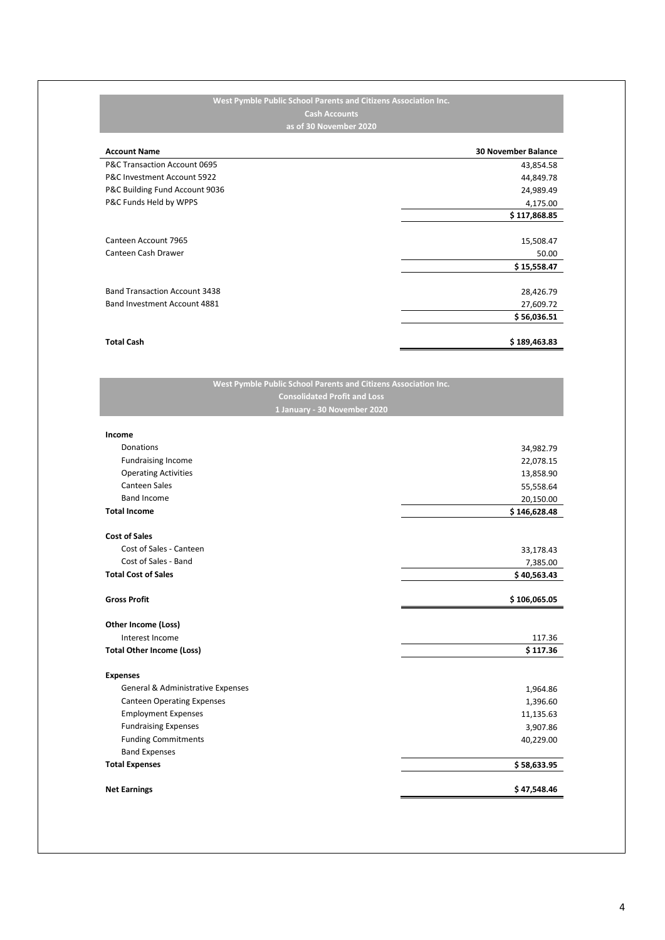#### **West Pymble Public School Parents and Citizens Association Inc. Cash Accounts as of 30 November 2020**

| <b>Account Name</b>                  | <b>30 November Balance</b> |
|--------------------------------------|----------------------------|
| P&C Transaction Account 0695         | 43,854.58                  |
| P&C Investment Account 5922          | 44,849.78                  |
| P&C Building Fund Account 9036       | 24,989.49                  |
| P&C Funds Held by WPPS               | 4,175.00                   |
|                                      | \$117,868.85               |
|                                      |                            |
| Canteen Account 7965                 | 15,508.47                  |
| Canteen Cash Drawer                  | 50.00                      |
|                                      | \$15,558.47                |
|                                      |                            |
| <b>Band Transaction Account 3438</b> | 28,426.79                  |
| Band Investment Account 4881         | 27,609.72                  |
|                                      | \$56,036.51                |
|                                      |                            |
| <b>Total Cash</b>                    | \$189,463.83               |

| West Pymble Public School Parents and Citizens Association Inc. |              |
|-----------------------------------------------------------------|--------------|
| <b>Consolidated Profit and Loss</b>                             |              |
| 1 January - 30 November 2020                                    |              |
|                                                                 |              |
| Income                                                          |              |
| Donations                                                       | 34,982.79    |
| <b>Fundraising Income</b>                                       | 22,078.15    |
| <b>Operating Activities</b>                                     | 13,858.90    |
| <b>Canteen Sales</b>                                            | 55,558.64    |
| <b>Band Income</b>                                              | 20,150.00    |
| <b>Total Income</b>                                             | \$146,628.48 |
|                                                                 |              |
| <b>Cost of Sales</b>                                            |              |
| Cost of Sales - Canteen                                         | 33,178.43    |
| Cost of Sales - Band                                            | 7,385.00     |
| <b>Total Cost of Sales</b>                                      | \$40,563.43  |
| <b>Gross Profit</b>                                             | \$106,065.05 |
|                                                                 |              |
| Other Income (Loss)                                             |              |
| Interest Income                                                 | 117.36       |
| <b>Total Other Income (Loss)</b>                                | \$117.36     |
| <b>Expenses</b>                                                 |              |
| General & Administrative Expenses                               | 1,964.86     |
| <b>Canteen Operating Expenses</b>                               | 1,396.60     |
| <b>Employment Expenses</b>                                      | 11,135.63    |
| <b>Fundraising Expenses</b>                                     | 3,907.86     |
| <b>Funding Commitments</b>                                      | 40,229.00    |
| <b>Band Expenses</b>                                            |              |
| <b>Total Expenses</b>                                           | \$58,633.95  |
|                                                                 |              |
| <b>Net Earnings</b>                                             | \$47,548.46  |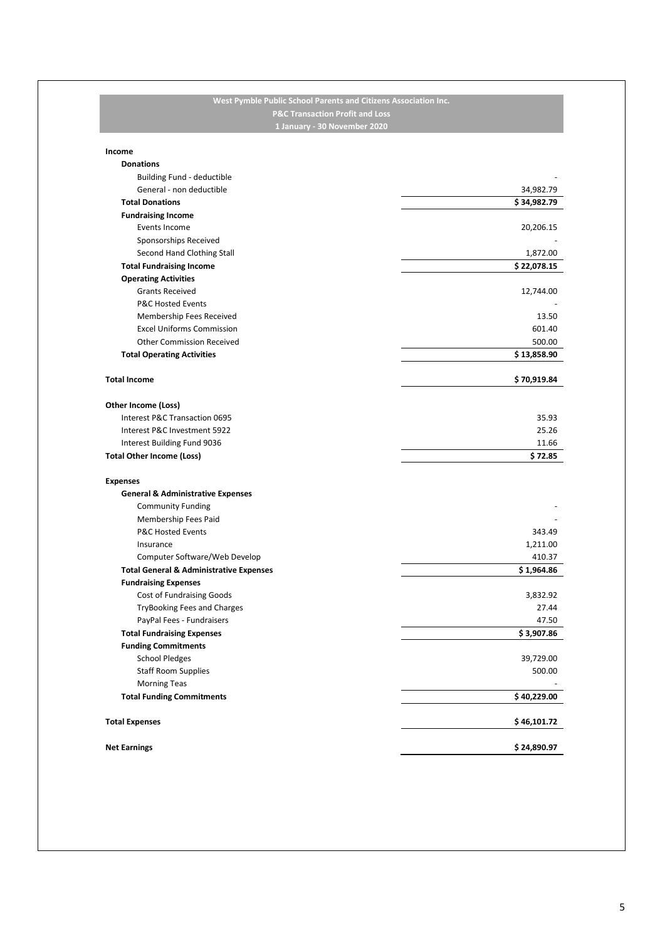#### **West Pymble Public School Parents and Citizens Association Inc. P&C Transaction Profit and Loss 1 January - 30 November 2020**

| Income                                             |             |
|----------------------------------------------------|-------------|
| <b>Donations</b>                                   |             |
| <b>Building Fund - deductible</b>                  |             |
| General - non deductible                           | 34,982.79   |
| <b>Total Donations</b>                             | \$34,982.79 |
| <b>Fundraising Income</b>                          |             |
| Events Income                                      | 20,206.15   |
| Sponsorships Received                              |             |
| Second Hand Clothing Stall                         | 1,872.00    |
| <b>Total Fundraising Income</b>                    | \$22,078.15 |
| <b>Operating Activities</b>                        |             |
| <b>Grants Received</b>                             | 12,744.00   |
| <b>P&amp;C Hosted Events</b>                       |             |
| Membership Fees Received                           | 13.50       |
| <b>Excel Uniforms Commission</b>                   | 601.40      |
| <b>Other Commission Received</b>                   | 500.00      |
| <b>Total Operating Activities</b>                  | \$13,858.90 |
|                                                    |             |
| <b>Total Income</b>                                | \$70,919.84 |
|                                                    |             |
| Other Income (Loss)                                |             |
| Interest P&C Transaction 0695                      | 35.93       |
| Interest P&C Investment 5922                       | 25.26       |
| Interest Building Fund 9036                        | 11.66       |
| <b>Total Other Income (Loss)</b>                   | \$72.85     |
|                                                    |             |
| <b>Expenses</b>                                    |             |
| <b>General &amp; Administrative Expenses</b>       |             |
| <b>Community Funding</b>                           |             |
| Membership Fees Paid                               |             |
| <b>P&amp;C Hosted Events</b>                       | 343.49      |
| Insurance                                          | 1,211.00    |
| Computer Software/Web Develop                      | 410.37      |
| <b>Total General &amp; Administrative Expenses</b> | \$1,964.86  |
| <b>Fundraising Expenses</b>                        |             |
| Cost of Fundraising Goods                          | 3,832.92    |
| TryBooking Fees and Charges                        | 27.44       |
| PayPal Fees - Fundraisers                          | 47.50       |
| <b>Total Fundraising Expenses</b>                  | \$3,907.86  |
| <b>Funding Commitments</b>                         |             |
| <b>School Pledges</b>                              | 39,729.00   |
| <b>Staff Room Supplies</b>                         | 500.00      |
| <b>Morning Teas</b>                                |             |
| <b>Total Funding Commitments</b>                   | \$40,229.00 |
|                                                    |             |
| <b>Total Expenses</b>                              | \$46,101.72 |
| <b>Net Earnings</b>                                | \$24,890.97 |
|                                                    |             |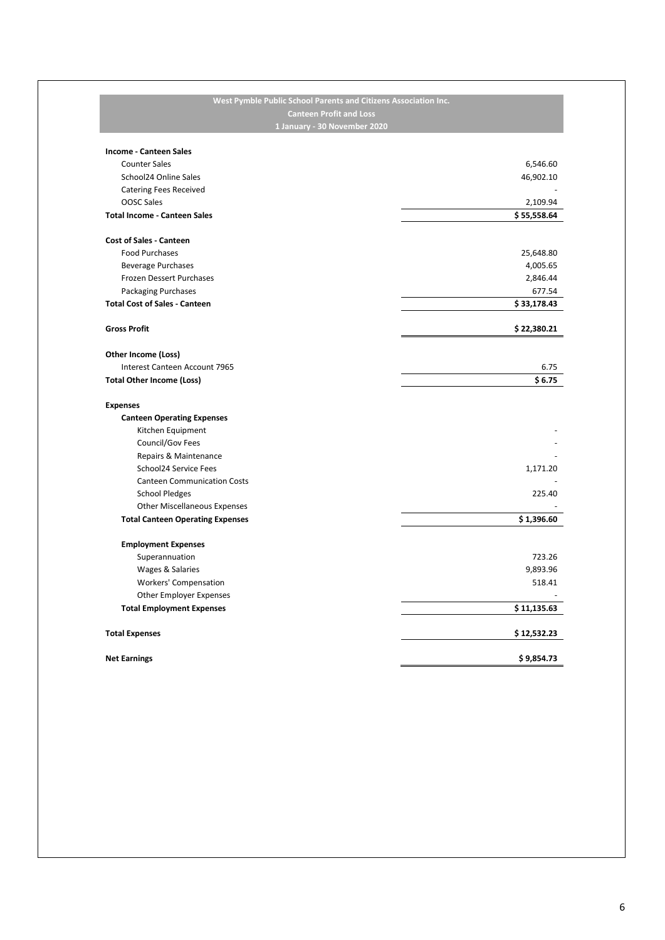# **West Pymble Public School Parents and Citizens Association Inc. Canteen Profit and Loss 1 January - 30 November 2020 Income - Canteen Sales** Counter Sales 6,546.60 School24 Online Sales 46,902.10 Catering Fees Received **and Science 2008** Catering Fees Received **and Science 2008** Catering Fees Received **and Science 2008** Catering **and Science 2008** Catering **and Science 2008** Catering **and Science 2008** Catering **an** OOSC Sales 2,109.94 **Total Income - Canteen Sales \$ 55,558.64 Cost of Sales - Canteen** Food Purchases 25,648.80 Beverage Purchases 4,005.65 Frozen Dessert Purchases 2,846.44 Packaging Purchases 677.54 **Total Cost of Sales - Canteen \$ 33,178.43 Gross Profit \$ 22,380.21 Other Income (Loss)** Interest Canteen Account 7965 6.75 **Total Other Income (Loss) \$ 6.75 Expenses Canteen Operating Expenses** Kitchen Equipment Council/Gov Fees Repairs & Maintenance School24 Service Fees 2,171.20 Canteen Communication Costs - School Pledges 225.40 Other Miscellaneous Expenses **Total Canteen Operating Expenses \$ 1,396.60 Employment Expenses** Superannuation 723.26 Wages & Salaries 9,893.96 Workers' Compensation 518.41 Other Employer Expenses **Total Employment Expenses \$ 11,135.63 Total Expenses \$ 12,532.23 Net Earnings \$ 9,854.73**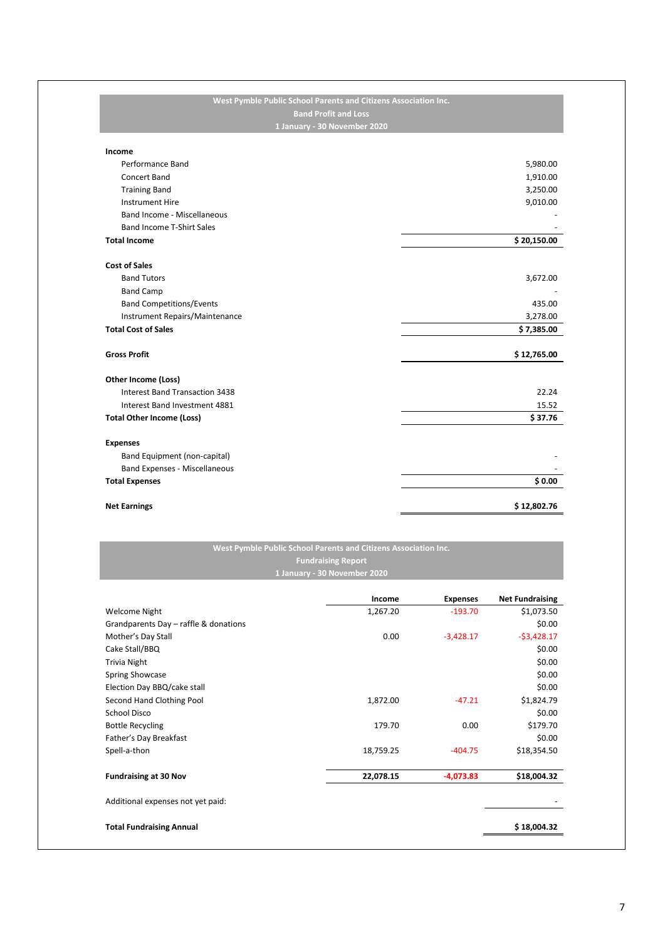| <b>Band Profit and Loss</b>         |             |
|-------------------------------------|-------------|
| 1 January - 30 November 2020        |             |
| Income                              |             |
| Performance Band                    | 5,980.00    |
| Concert Band                        | 1,910.00    |
| <b>Training Band</b>                | 3,250.00    |
| <b>Instrument Hire</b>              | 9,010.00    |
| <b>Band Income - Miscellaneous</b>  |             |
| <b>Band Income T-Shirt Sales</b>    |             |
| <b>Total Income</b>                 | \$20,150.00 |
| <b>Cost of Sales</b>                |             |
| <b>Band Tutors</b>                  | 3,672.00    |
| <b>Band Camp</b>                    |             |
| <b>Band Competitions/Events</b>     | 435.00      |
| Instrument Repairs/Maintenance      | 3,278.00    |
| <b>Total Cost of Sales</b>          | \$7,385.00  |
| <b>Gross Profit</b>                 | \$12,765.00 |
| Other Income (Loss)                 |             |
| Interest Band Transaction 3438      | 22.24       |
| Interest Band Investment 4881       | 15.52       |
| <b>Total Other Income (Loss)</b>    | \$37.76     |
| <b>Expenses</b>                     |             |
| <b>Band Equipment (non-capital)</b> |             |
| Band Expenses - Miscellaneous       |             |
| <b>Total Expenses</b>               | \$0.00      |
| <b>Net Earnings</b>                 | \$12,802.76 |

## **West Pymble Public School Parents and Citizens Association Inc. Fundraising Report 1 January - 30 November 2020**

|                                       | Income    | <b>Expenses</b> | <b>Net Fundraising</b> |
|---------------------------------------|-----------|-----------------|------------------------|
| <b>Welcome Night</b>                  | 1,267.20  | $-193.70$       | \$1,073.50             |
| Grandparents Day - raffle & donations |           |                 | \$0.00                 |
| Mother's Day Stall                    | 0.00      | $-3,428.17$     | $-53,428.17$           |
| Cake Stall/BBQ                        |           |                 | \$0.00                 |
| <b>Trivia Night</b>                   |           |                 | \$0.00                 |
| <b>Spring Showcase</b>                |           |                 | \$0.00                 |
| Election Day BBQ/cake stall           |           |                 | \$0.00                 |
| Second Hand Clothing Pool             | 1,872.00  | $-47.21$        | \$1,824.79             |
| <b>School Disco</b>                   |           |                 | \$0.00                 |
| <b>Bottle Recycling</b>               | 179.70    | 0.00            | \$179.70               |
| Father's Day Breakfast                |           |                 | \$0.00                 |
| Spell-a-thon                          | 18,759.25 | $-404.75$       | \$18,354.50            |
| <b>Fundraising at 30 Nov</b>          | 22,078.15 | $-4,073.83$     | \$18,004.32            |
| Additional expenses not yet paid:     |           |                 |                        |
| <b>Total Fundraising Annual</b>       |           |                 | \$18,004.32            |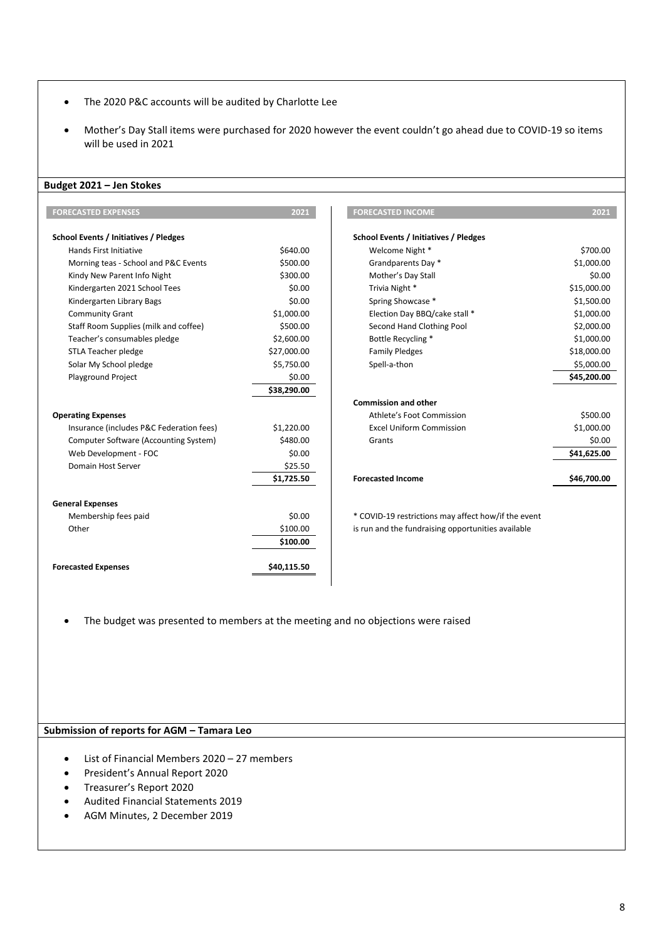- The 2020 P&C accounts will be audited by Charlotte Lee
- Mother's Day Stall items were purchased for 2020 however the event couldn't go ahead due to COVID-19 so items will be used in 2021

#### **Budget 2021 – Jen Stokes**

| <b>FORECASTED EXPENSES</b>                   | 2021        | <b>FORECASTED INCOME</b>                            | 2021        |
|----------------------------------------------|-------------|-----------------------------------------------------|-------------|
| <b>School Events / Initiatives / Pledges</b> |             | <b>School Events / Initiatives / Pledges</b>        |             |
| <b>Hands First Initiative</b>                | \$640.00    | Welcome Night *                                     | \$700.00    |
| Morning teas - School and P&C Events         | \$500.00    | Grandparents Day *                                  | \$1,000.00  |
| Kindy New Parent Info Night                  | \$300.00    | Mother's Day Stall                                  | \$0.00      |
| Kindergarten 2021 School Tees                | \$0.00      | Trivia Night *                                      | \$15,000.00 |
| Kindergarten Library Bags                    | \$0.00      | Spring Showcase *                                   | \$1,500.00  |
| <b>Community Grant</b>                       | \$1,000.00  | Election Day BBQ/cake stall *                       | \$1,000.00  |
| Staff Room Supplies (milk and coffee)        | \$500.00    | Second Hand Clothing Pool                           | \$2,000.00  |
| Teacher's consumables pledge                 | \$2,600.00  | Bottle Recycling *                                  | \$1,000.00  |
| STLA Teacher pledge                          | \$27,000.00 | <b>Family Pledges</b>                               | \$18,000.00 |
| Solar My School pledge                       | \$5,750.00  | Spell-a-thon                                        | \$5,000.00  |
| <b>Playground Project</b>                    | \$0.00      |                                                     | \$45,200.00 |
|                                              | \$38,290.00 |                                                     |             |
|                                              |             | <b>Commission and other</b>                         |             |
| <b>Operating Expenses</b>                    |             | Athlete's Foot Commission                           | \$500.00    |
| Insurance (includes P&C Federation fees)     | \$1,220.00  | <b>Excel Uniform Commission</b>                     | \$1,000.00  |
| Computer Software (Accounting System)        | \$480.00    | Grants                                              | \$0.00      |
| Web Development - FOC                        | \$0.00      |                                                     | \$41,625.00 |
| Domain Host Server                           | \$25.50     |                                                     |             |
|                                              | \$1,725.50  | <b>Forecasted Income</b>                            | \$46,700.00 |
| <b>General Expenses</b>                      |             |                                                     |             |
| Membership fees paid                         | \$0.00      | * COVID-19 restrictions may affect how/if the event |             |
| Other                                        | \$100.00    | is run and the fundraising opportunities available  |             |
|                                              | \$100.00    |                                                     |             |
| <b>Forecasted Expenses</b>                   | \$40,115.50 |                                                     |             |

| <b>ECASTED EXPENSES</b>                  | 2021        | <b>FORECASTED INCOME</b>              | 2021        |
|------------------------------------------|-------------|---------------------------------------|-------------|
| ol Events / Initiatives / Pledges        |             | School Events / Initiatives / Pledges |             |
| Hands First Initiative                   | \$640.00    | Welcome Night *                       | \$700.00    |
| Morning teas - School and P&C Events     | \$500.00    | Grandparents Day *                    | \$1,000.00  |
| Kindy New Parent Info Night              | \$300.00    | Mother's Day Stall                    | \$0.00      |
| Kindergarten 2021 School Tees            | \$0.00      | Trivia Night *                        | \$15,000.00 |
| Kindergarten Library Bags                | \$0.00      | Spring Showcase *                     | \$1,500.00  |
| Community Grant                          | \$1,000.00  | Election Day BBQ/cake stall *         | \$1,000.00  |
| Staff Room Supplies (milk and coffee)    | \$500.00    | Second Hand Clothing Pool             | \$2,000.00  |
| Teacher's consumables pledge             | \$2,600.00  | Bottle Recycling *                    | \$1,000.00  |
| STLA Teacher pledge                      | \$27,000.00 | <b>Family Pledges</b>                 | \$18,000.00 |
| Solar My School pledge                   | \$5,750.00  | Spell-a-thon                          | \$5,000.00  |
| <b>Playground Project</b>                | \$0.00      |                                       | \$45,200.00 |
|                                          | \$38,290.00 |                                       |             |
|                                          |             | <b>Commission and other</b>           |             |
| rating Expenses                          |             | Athlete's Foot Commission             | \$500.00    |
| Insurance (includes P&C Federation fees) | \$1,220.00  | <b>Excel Uniform Commission</b>       | \$1,000.00  |
| Computer Software (Accounting System)    | \$480.00    | Grants                                | \$0.00      |
| Web Development - FOC                    | \$0.00      |                                       | \$41,625.00 |
| Domain Host Server                       | \$25.50     |                                       |             |
|                                          | \$1,725.50  | <b>Forecasted Income</b>              | \$46,700.00 |

• The budget was presented to members at the meeting and no objections were raised

#### **Submission of reports for AGM – Tamara Leo**

- List of Financial Members 2020 27 members
- President's Annual Report 2020
- Treasurer's Report 2020
- Audited Financial Statements 2019
- AGM Minutes, 2 December 2019